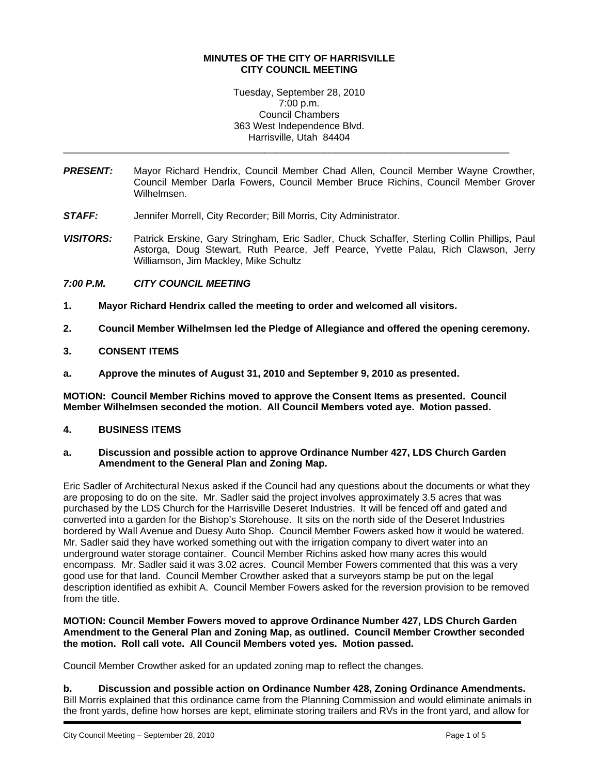### **MINUTES OF THE CITY OF HARRISVILLE CITY COUNCIL MEETING**

Tuesday, September 28, 2010 7:00 p.m. Council Chambers 363 West Independence Blvd. Harrisville, Utah 84404

\_\_\_\_\_\_\_\_\_\_\_\_\_\_\_\_\_\_\_\_\_\_\_\_\_\_\_\_\_\_\_\_\_\_\_\_\_\_\_\_\_\_\_\_\_\_\_\_\_\_\_\_\_\_\_\_\_\_\_\_\_\_\_\_\_\_\_\_\_\_\_\_\_\_\_\_\_\_\_\_\_\_

- *PRESENT:* Mayor Richard Hendrix, Council Member Chad Allen, Council Member Wayne Crowther, Council Member Darla Fowers, Council Member Bruce Richins, Council Member Grover Wilhelmsen.
- **STAFF:** Jennifer Morrell, City Recorder; Bill Morris, City Administrator.
- *VISITORS:* Patrick Erskine, Gary Stringham, Eric Sadler, Chuck Schaffer, Sterling Collin Phillips, Paul Astorga, Doug Stewart, Ruth Pearce, Jeff Pearce, Yvette Palau, Rich Clawson, Jerry Williamson, Jim Mackley, Mike Schultz

# *7:00 P.M. CITY COUNCIL MEETING*

- **1. Mayor Richard Hendrix called the meeting to order and welcomed all visitors.**
- **2. Council Member Wilhelmsen led the Pledge of Allegiance and offered the opening ceremony.**
- **3. CONSENT ITEMS**
- **a. Approve the minutes of August 31, 2010 and September 9, 2010 as presented.**

**MOTION: Council Member Richins moved to approve the Consent Items as presented. Council Member Wilhelmsen seconded the motion. All Council Members voted aye. Motion passed.** 

#### **4. BUSINESS ITEMS**

#### **a. Discussion and possible action to approve Ordinance Number 427, LDS Church Garden Amendment to the General Plan and Zoning Map.**

Eric Sadler of Architectural Nexus asked if the Council had any questions about the documents or what they are proposing to do on the site. Mr. Sadler said the project involves approximately 3.5 acres that was purchased by the LDS Church for the Harrisville Deseret Industries. It will be fenced off and gated and converted into a garden for the Bishop's Storehouse. It sits on the north side of the Deseret Industries bordered by Wall Avenue and Duesy Auto Shop. Council Member Fowers asked how it would be watered. Mr. Sadler said they have worked something out with the irrigation company to divert water into an underground water storage container. Council Member Richins asked how many acres this would encompass. Mr. Sadler said it was 3.02 acres. Council Member Fowers commented that this was a very good use for that land. Council Member Crowther asked that a surveyors stamp be put on the legal description identified as exhibit A. Council Member Fowers asked for the reversion provision to be removed from the title.

### **MOTION: Council Member Fowers moved to approve Ordinance Number 427, LDS Church Garden Amendment to the General Plan and Zoning Map, as outlined. Council Member Crowther seconded the motion. Roll call vote. All Council Members voted yes. Motion passed.**

Council Member Crowther asked for an updated zoning map to reflect the changes.

**b. Discussion and possible action on Ordinance Number 428, Zoning Ordinance Amendments.**  Bill Morris explained that this ordinance came from the Planning Commission and would eliminate animals in the front yards, define how horses are kept, eliminate storing trailers and RVs in the front yard, and allow for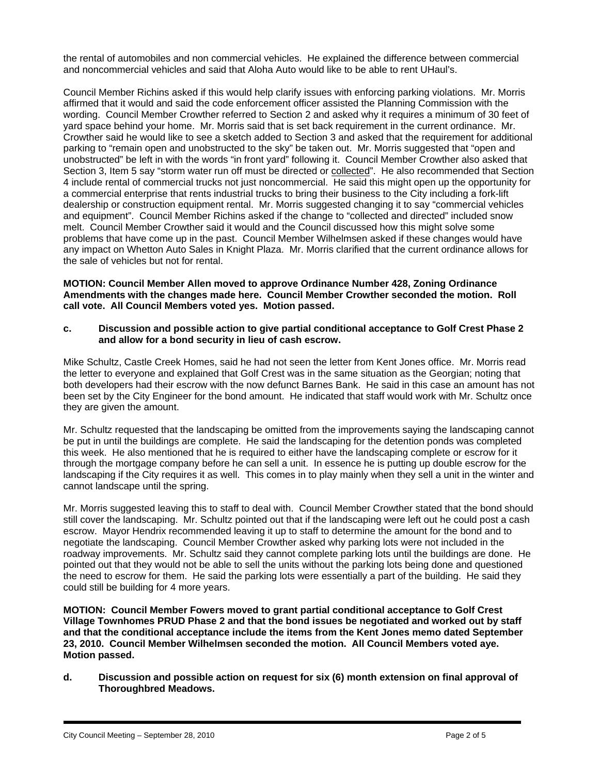the rental of automobiles and non commercial vehicles. He explained the difference between commercial and noncommercial vehicles and said that Aloha Auto would like to be able to rent UHaul's.

Council Member Richins asked if this would help clarify issues with enforcing parking violations. Mr. Morris affirmed that it would and said the code enforcement officer assisted the Planning Commission with the wording. Council Member Crowther referred to Section 2 and asked why it requires a minimum of 30 feet of yard space behind your home. Mr. Morris said that is set back requirement in the current ordinance. Mr. Crowther said he would like to see a sketch added to Section 3 and asked that the requirement for additional parking to "remain open and unobstructed to the sky" be taken out. Mr. Morris suggested that "open and unobstructed" be left in with the words "in front yard" following it. Council Member Crowther also asked that Section 3, Item 5 say "storm water run off must be directed or collected". He also recommended that Section 4 include rental of commercial trucks not just noncommercial. He said this might open up the opportunity for a commercial enterprise that rents industrial trucks to bring their business to the City including a fork-lift dealership or construction equipment rental. Mr. Morris suggested changing it to say "commercial vehicles and equipment". Council Member Richins asked if the change to "collected and directed" included snow melt. Council Member Crowther said it would and the Council discussed how this might solve some problems that have come up in the past. Council Member Wilhelmsen asked if these changes would have any impact on Whetton Auto Sales in Knight Plaza. Mr. Morris clarified that the current ordinance allows for the sale of vehicles but not for rental.

**MOTION: Council Member Allen moved to approve Ordinance Number 428, Zoning Ordinance Amendments with the changes made here. Council Member Crowther seconded the motion. Roll call vote. All Council Members voted yes. Motion passed.** 

**c. Discussion and possible action to give partial conditional acceptance to Golf Crest Phase 2 and allow for a bond security in lieu of cash escrow.** 

Mike Schultz, Castle Creek Homes, said he had not seen the letter from Kent Jones office. Mr. Morris read the letter to everyone and explained that Golf Crest was in the same situation as the Georgian; noting that both developers had their escrow with the now defunct Barnes Bank. He said in this case an amount has not been set by the City Engineer for the bond amount. He indicated that staff would work with Mr. Schultz once they are given the amount.

Mr. Schultz requested that the landscaping be omitted from the improvements saying the landscaping cannot be put in until the buildings are complete. He said the landscaping for the detention ponds was completed this week. He also mentioned that he is required to either have the landscaping complete or escrow for it through the mortgage company before he can sell a unit. In essence he is putting up double escrow for the landscaping if the City requires it as well. This comes in to play mainly when they sell a unit in the winter and cannot landscape until the spring.

Mr. Morris suggested leaving this to staff to deal with. Council Member Crowther stated that the bond should still cover the landscaping. Mr. Schultz pointed out that if the landscaping were left out he could post a cash escrow. Mayor Hendrix recommended leaving it up to staff to determine the amount for the bond and to negotiate the landscaping. Council Member Crowther asked why parking lots were not included in the roadway improvements. Mr. Schultz said they cannot complete parking lots until the buildings are done. He pointed out that they would not be able to sell the units without the parking lots being done and questioned the need to escrow for them. He said the parking lots were essentially a part of the building. He said they could still be building for 4 more years.

**MOTION: Council Member Fowers moved to grant partial conditional acceptance to Golf Crest Village Townhomes PRUD Phase 2 and that the bond issues be negotiated and worked out by staff and that the conditional acceptance include the items from the Kent Jones memo dated September 23, 2010. Council Member Wilhelmsen seconded the motion. All Council Members voted aye. Motion passed.** 

**d. Discussion and possible action on request for six (6) month extension on final approval of Thoroughbred Meadows.**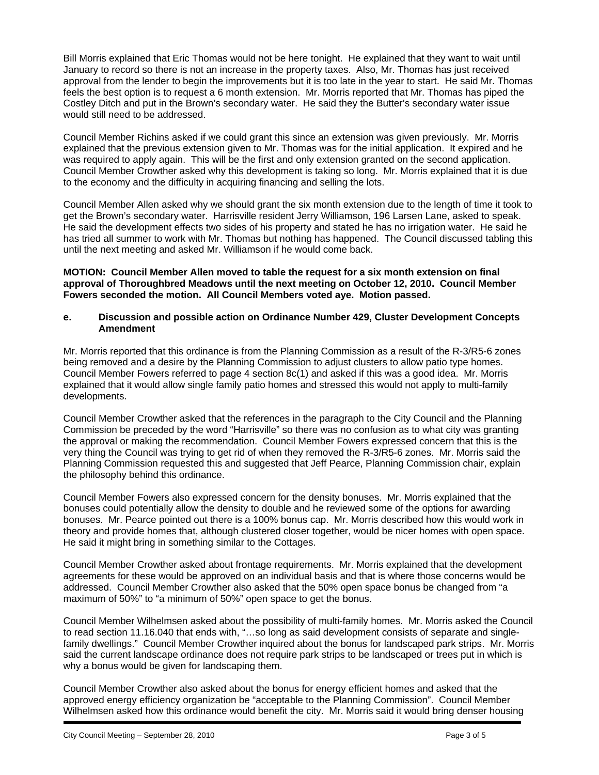Bill Morris explained that Eric Thomas would not be here tonight. He explained that they want to wait until January to record so there is not an increase in the property taxes. Also, Mr. Thomas has just received approval from the lender to begin the improvements but it is too late in the year to start. He said Mr. Thomas feels the best option is to request a 6 month extension. Mr. Morris reported that Mr. Thomas has piped the Costley Ditch and put in the Brown's secondary water. He said they the Butter's secondary water issue would still need to be addressed.

Council Member Richins asked if we could grant this since an extension was given previously. Mr. Morris explained that the previous extension given to Mr. Thomas was for the initial application. It expired and he was required to apply again. This will be the first and only extension granted on the second application. Council Member Crowther asked why this development is taking so long. Mr. Morris explained that it is due to the economy and the difficulty in acquiring financing and selling the lots.

Council Member Allen asked why we should grant the six month extension due to the length of time it took to get the Brown's secondary water. Harrisville resident Jerry Williamson, 196 Larsen Lane, asked to speak. He said the development effects two sides of his property and stated he has no irrigation water. He said he has tried all summer to work with Mr. Thomas but nothing has happened. The Council discussed tabling this until the next meeting and asked Mr. Williamson if he would come back.

**MOTION: Council Member Allen moved to table the request for a six month extension on final approval of Thoroughbred Meadows until the next meeting on October 12, 2010. Council Member Fowers seconded the motion. All Council Members voted aye. Motion passed.** 

### **e. Discussion and possible action on Ordinance Number 429, Cluster Development Concepts Amendment**

Mr. Morris reported that this ordinance is from the Planning Commission as a result of the R-3/R5-6 zones being removed and a desire by the Planning Commission to adjust clusters to allow patio type homes. Council Member Fowers referred to page 4 section 8c(1) and asked if this was a good idea. Mr. Morris explained that it would allow single family patio homes and stressed this would not apply to multi-family developments.

Council Member Crowther asked that the references in the paragraph to the City Council and the Planning Commission be preceded by the word "Harrisville" so there was no confusion as to what city was granting the approval or making the recommendation. Council Member Fowers expressed concern that this is the very thing the Council was trying to get rid of when they removed the R-3/R5-6 zones. Mr. Morris said the Planning Commission requested this and suggested that Jeff Pearce, Planning Commission chair, explain the philosophy behind this ordinance.

Council Member Fowers also expressed concern for the density bonuses. Mr. Morris explained that the bonuses could potentially allow the density to double and he reviewed some of the options for awarding bonuses. Mr. Pearce pointed out there is a 100% bonus cap. Mr. Morris described how this would work in theory and provide homes that, although clustered closer together, would be nicer homes with open space. He said it might bring in something similar to the Cottages.

Council Member Crowther asked about frontage requirements. Mr. Morris explained that the development agreements for these would be approved on an individual basis and that is where those concerns would be addressed. Council Member Crowther also asked that the 50% open space bonus be changed from "a maximum of 50%" to "a minimum of 50%" open space to get the bonus.

Council Member Wilhelmsen asked about the possibility of multi-family homes. Mr. Morris asked the Council to read section 11.16.040 that ends with, "…so long as said development consists of separate and singlefamily dwellings." Council Member Crowther inquired about the bonus for landscaped park strips. Mr. Morris said the current landscape ordinance does not require park strips to be landscaped or trees put in which is why a bonus would be given for landscaping them.

Council Member Crowther also asked about the bonus for energy efficient homes and asked that the approved energy efficiency organization be "acceptable to the Planning Commission". Council Member Wilhelmsen asked how this ordinance would benefit the city. Mr. Morris said it would bring denser housing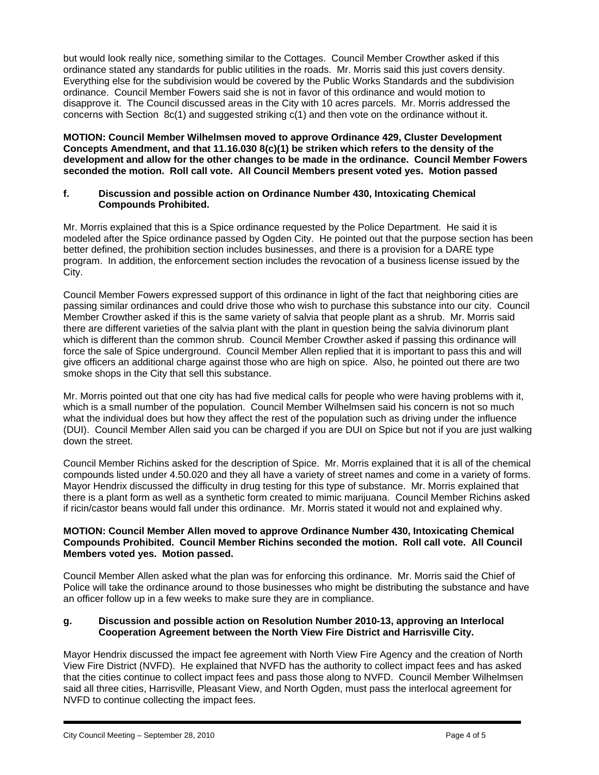but would look really nice, something similar to the Cottages. Council Member Crowther asked if this ordinance stated any standards for public utilities in the roads. Mr. Morris said this just covers density. Everything else for the subdivision would be covered by the Public Works Standards and the subdivision ordinance. Council Member Fowers said she is not in favor of this ordinance and would motion to disapprove it. The Council discussed areas in the City with 10 acres parcels. Mr. Morris addressed the concerns with Section 8c(1) and suggested striking c(1) and then vote on the ordinance without it.

**MOTION: Council Member Wilhelmsen moved to approve Ordinance 429, Cluster Development Concepts Amendment, and that 11.16.030 8(c)(1) be striken which refers to the density of the development and allow for the other changes to be made in the ordinance. Council Member Fowers seconded the motion. Roll call vote. All Council Members present voted yes. Motion passed** 

### **f. Discussion and possible action on Ordinance Number 430, Intoxicating Chemical Compounds Prohibited.**

Mr. Morris explained that this is a Spice ordinance requested by the Police Department. He said it is modeled after the Spice ordinance passed by Ogden City. He pointed out that the purpose section has been better defined, the prohibition section includes businesses, and there is a provision for a DARE type program. In addition, the enforcement section includes the revocation of a business license issued by the City.

Council Member Fowers expressed support of this ordinance in light of the fact that neighboring cities are passing similar ordinances and could drive those who wish to purchase this substance into our city. Council Member Crowther asked if this is the same variety of salvia that people plant as a shrub. Mr. Morris said there are different varieties of the salvia plant with the plant in question being the salvia divinorum plant which is different than the common shrub. Council Member Crowther asked if passing this ordinance will force the sale of Spice underground. Council Member Allen replied that it is important to pass this and will give officers an additional charge against those who are high on spice. Also, he pointed out there are two smoke shops in the City that sell this substance.

Mr. Morris pointed out that one city has had five medical calls for people who were having problems with it, which is a small number of the population. Council Member Wilhelmsen said his concern is not so much what the individual does but how they affect the rest of the population such as driving under the influence (DUI). Council Member Allen said you can be charged if you are DUI on Spice but not if you are just walking down the street.

Council Member Richins asked for the description of Spice. Mr. Morris explained that it is all of the chemical compounds listed under 4.50.020 and they all have a variety of street names and come in a variety of forms. Mayor Hendrix discussed the difficulty in drug testing for this type of substance. Mr. Morris explained that there is a plant form as well as a synthetic form created to mimic marijuana. Council Member Richins asked if ricin/castor beans would fall under this ordinance. Mr. Morris stated it would not and explained why.

### **MOTION: Council Member Allen moved to approve Ordinance Number 430, Intoxicating Chemical Compounds Prohibited. Council Member Richins seconded the motion. Roll call vote. All Council Members voted yes. Motion passed.**

Council Member Allen asked what the plan was for enforcing this ordinance. Mr. Morris said the Chief of Police will take the ordinance around to those businesses who might be distributing the substance and have an officer follow up in a few weeks to make sure they are in compliance.

# **g. Discussion and possible action on Resolution Number 2010-13, approving an Interlocal Cooperation Agreement between the North View Fire District and Harrisville City.**

Mayor Hendrix discussed the impact fee agreement with North View Fire Agency and the creation of North View Fire District (NVFD). He explained that NVFD has the authority to collect impact fees and has asked that the cities continue to collect impact fees and pass those along to NVFD. Council Member Wilhelmsen said all three cities, Harrisville, Pleasant View, and North Ogden, must pass the interlocal agreement for NVFD to continue collecting the impact fees.